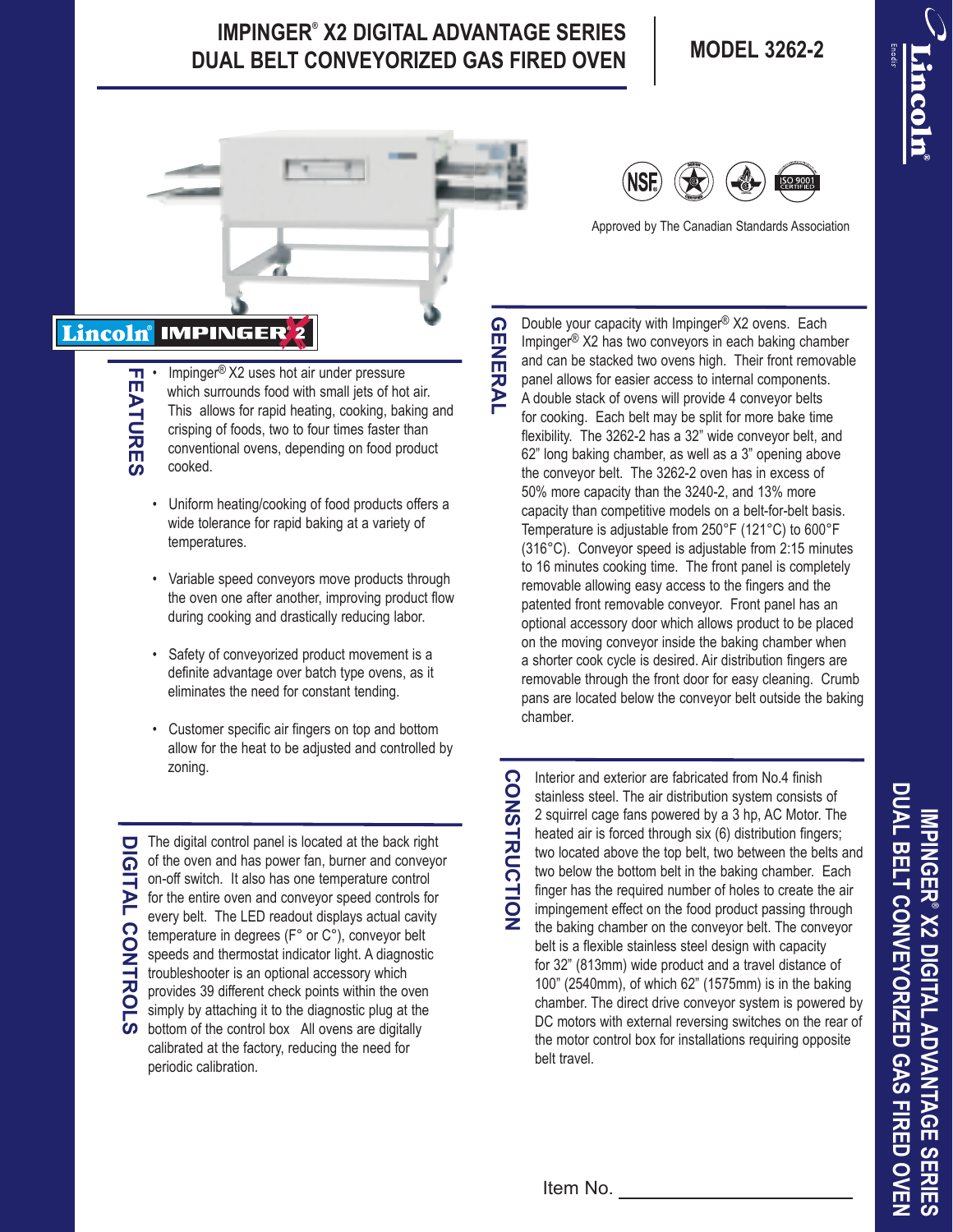## **IMPINGER® X2 DIGITAL ADVANTAGE SERIES DUAL BELT CONVEYORIZED GAS FIRED OVEN MODEL 3262-2**



Impinger<sup>®</sup> X2 uses hot air under pressure which surrounds food with small jets of hot air. This allows for rapid heating, cooking, baking and crisping of foods, two to four times faster than conventional ovens, depending on food product

Uniform heating/cooking of food products offers a wide tolerance for rapid baking at a variety of

• Variable speed conveyors move products through the oven one after another, improving product flow during cooking and drastically reducing labor.

Safety of conveyorized product movement is a definite advantage over batch type ovens, as it eliminates the need for constant tending.

• Customer specific air fingers on top and bottom allow for the heat to be adjusted and controlled by



Approved by The Canadian Standards Association

Double your capacity with Impinger® X2 ovens. Each Impinger® X2 has two conveyors in each baking chamber and can be stacked two ovens high. Their front removable panel allows for easier access to internal components. A double stack of ovens will provide 4 conveyor belts for cooking. Each belt may be split for more bake time flexibility. The 3262-2 has a 32" wide conveyor belt, and 62" long baking chamber, as well as a 3" opening above the conveyor belt. The 3262-2 oven has in excess of 50% more capacity than the 3240-2, and 13% more capacity than competitive models on a belt-for-belt basis. Temperature is adjustable from 250°F (121°C) to 600°F (316°C). Conveyor speed is adjustable from 2:15 minutes to 16 minutes cooking time. The front panel is completely removable allowing easy access to the fingers and the patented front removable conveyor. Front panel has an optional accessory door which allows product to be placed on the moving conveyor inside the baking chamber when a shorter cook cycle is desired. Air distribution fingers are removable through the front door for easy cleaning. Crumb pans are located below the conveyor belt outside the baking chamber.

**FEATURES**

**FEATURES** 

cooked.

zoning.

temperatures.

 $\Box$  The digital control panel is located at the back right of the oven and has power fan, burner and conveyor on-off switch. It also has one temperature control for the entire oven and conveyor speed controls for every belt. The LED readout displays actual cavity temperature in degrees (F° or C°), conveyor belt speeds and thermostat indicator light. A diagnostic troubleshooter is an optional accessory which provides 39 different check points within the oven simply by attaching it to the diagnostic plug at the bottom of the control box All ovens are digitally calibrated at the factory, reducing the need for periodic calibration.

**CONSTRUCTION CONSTRUCTION**

Interior and exterior are fabricated from No.4 finish stainless steel. The air distribution system consists of 2 squirrel cage fans powered by a 3 hp, AC Motor. The heated air is forced through six (6) distribution fingers; two located above the top belt, two between the belts and two below the bottom belt in the baking chamber. Each finger has the required number of holes to create the air impingement effect on the food product passing through the baking chamber on the conveyor belt. The conveyor belt is a flexible stainless steel design with capacity for 32" (813mm) wide product and a travel distance of 100" (2540mm), of which 62" (1575mm) is in the baking chamber. The direct drive conveyor system is powered by DC motors with external reversing switches on the rear of the motor control box for installations requiring opposite belt travel.

**DUAL BELT CONVEYORIZED GAS FIRED OVEN** DUAL BELT CONVEYORIZED GAS FIRED OVEN IMPINGER® X2 DIGITAL ADVANTAGE SERIES **IMPINGER® X2 DIGITAL ADVANTAGE SERIES**

Item No.